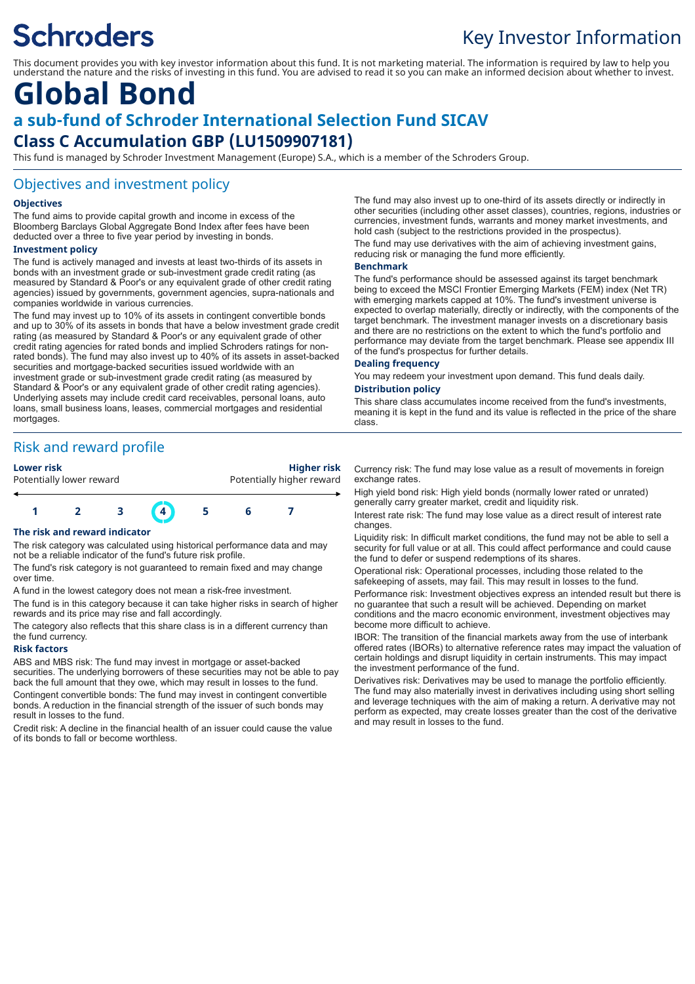# **Schroders**

# Key Investor Information

This document provides you with key investor information about this fund. It is not marketing material. The information is required by law to help you understand the nature and the risks of investing in this fund. You are advised to read it so you can make an informed decision about whether to invest.

# **Global Bond a sub-fund of Schroder International Selection Fund SICAV Class C Accumulation GBP (LU1509907181)**

This fund is managed by Schroder Investment Management (Europe) S.A., which is a member of the Schroders Group.

### Objectives and investment policy

#### **Objectives**

The fund aims to provide capital growth and income in excess of the Bloomberg Barclays Global Aggregate Bond Index after fees have been deducted over a three to five year period by investing in bonds.

#### **Investment policy**

The fund is actively managed and invests at least two-thirds of its assets in bonds with an investment grade or sub-investment grade credit rating (as measured by Standard & Poor's or any equivalent grade of other credit rating agencies) issued by governments, government agencies, supra-nationals and companies worldwide in various currencies.

The fund may invest up to 10% of its assets in contingent convertible bonds and up to 30% of its assets in bonds that have a below investment grade credit rating (as measured by Standard & Poor's or any equivalent grade of other credit rating agencies for rated bonds and implied Schroders ratings for nonrated bonds). The fund may also invest up to 40% of its assets in asset-backed securities and mortgage-backed securities issued worldwide with an investment grade or sub-investment grade credit rating (as measured by Standard & Poor's or any equivalent grade of other credit rating agencies). Underlying assets may include credit card receivables, personal loans, auto loans, small business loans, leases, commercial mortgages and residential mortgages

# Risk and reward profile



**Lower risk Higher risk** Potentially lower reward **Potentially higher reward** 



#### **The risk and reward indicator**

The risk category was calculated using historical performance data and may not be a reliable indicator of the fund's future risk profile.

The fund's risk category is not guaranteed to remain fixed and may change over time.

A fund in the lowest category does not mean a risk-free investment.

The fund is in this category because it can take higher risks in search of higher rewards and its price may rise and fall accordingly.

The category also reflects that this share class is in a different currency than the fund currency.

#### **Risk factors**

ABS and MBS risk: The fund may invest in mortgage or asset-backed securities. The underlying borrowers of these securities may not be able to pay back the full amount that they owe, which may result in losses to the fund. Contingent convertible bonds: The fund may invest in contingent convertible bonds. A reduction in the financial strength of the issuer of such bonds may result in losses to the fund.

Credit risk: A decline in the financial health of an issuer could cause the value of its bonds to fall or become worthless.

The fund may also invest up to one-third of its assets directly or indirectly in other securities (including other asset classes), countries, regions, industries or currencies, investment funds, warrants and money market investments, and hold cash (subject to the restrictions provided in the prospectus).

The fund may use derivatives with the aim of achieving investment gains, reducing risk or managing the fund more efficiently.

#### **Benchmark**

The fund's performance should be assessed against its target benchmark being to exceed the MSCI Frontier Emerging Markets (FEM) index (Net TR) with emerging markets capped at 10%. The fund's investment universe is expected to overlap materially, directly or indirectly, with the components of the target benchmark. The investment manager invests on a discretionary basis and there are no restrictions on the extent to which the fund's portfolio and performance may deviate from the target benchmark. Please see appendix III of the fund's prospectus for further details.

#### **Dealing frequency**

You may redeem your investment upon demand. This fund deals daily.

### **Distribution policy**

This share class accumulates income received from the fund's investments, meaning it is kept in the fund and its value is reflected in the price of the share class.

Currency risk: The fund may lose value as a result of movements in foreign exchange rates.

High yield bond risk: High yield bonds (normally lower rated or unrated) generally carry greater market, credit and liquidity risk.

Interest rate risk: The fund may lose value as a direct result of interest rate changes.

Liquidity risk: In difficult market conditions, the fund may not be able to sell a security for full value or at all. This could affect performance and could cause the fund to defer or suspend redemptions of its shares.

Operational risk: Operational processes, including those related to the safekeeping of assets, may fail. This may result in losses to the fund.

Performance risk: Investment objectives express an intended result but there is no guarantee that such a result will be achieved. Depending on market conditions and the macro economic environment, investment objectives may become more difficult to achieve.

IBOR: The transition of the financial markets away from the use of interbank offered rates (IBORs) to alternative reference rates may impact the valuation of certain holdings and disrupt liquidity in certain instruments. This may impact the investment performance of the fund.

Derivatives risk: Derivatives may be used to manage the portfolio efficiently. The fund may also materially invest in derivatives including using short selling and leverage techniques with the aim of making a return. A derivative may not perform as expected, may create losses greater than the cost of the derivative and may result in losses to the fund.